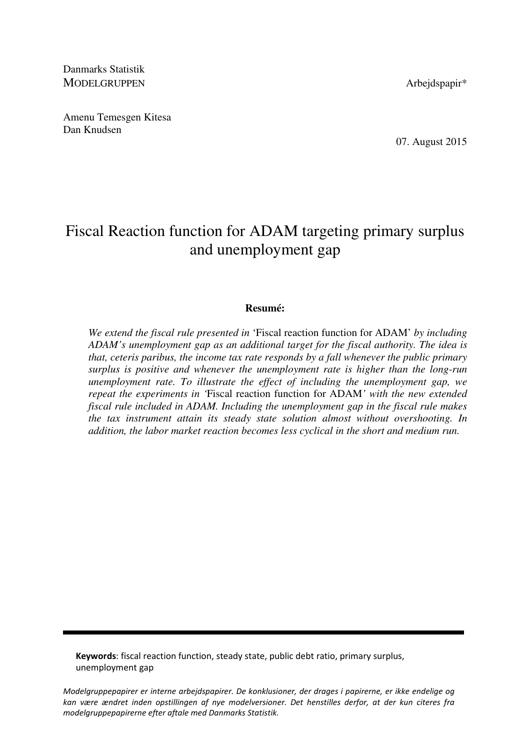Danmarks Statistik MODELGRUPPEN Arbeidspapir\*

Amenu Temesgen Kitesa Dan Knudsen

07. August 2015

# Fiscal Reaction function for ADAM targeting primary surplus and unemployment gap

### **Resumé:**

*We extend the fiscal rule presented in* 'Fiscal reaction function for ADAM' *by including ADAM's unemployment gap as an additional target for the fiscal authority. The idea is that, ceteris paribus, the income tax rate responds by a fall whenever the public primary surplus is positive and whenever the unemployment rate is higher than the long-run unemployment rate. To illustrate the effect of including the unemployment gap, we repeat the experiments in '*Fiscal reaction function for ADAM*' with the new extended fiscal rule included in ADAM. Including the unemployment gap in the fiscal rule makes the tax instrument attain its steady state solution almost without overshooting. In addition, the labor market reaction becomes less cyclical in the short and medium run.* 

Keywords: fiscal reaction function, steady state, public debt ratio, primary surplus, unemployment gap

Modelgruppepapirer er interne arbejdspapirer. De konklusioner, der drages i papirerne, er ikke endelige og kan være ændret inden opstillingen af nye modelversioner. Det henstilles derfor, at der kun citeres fra modelgruppepapirerne efter aftale med Danmarks Statistik.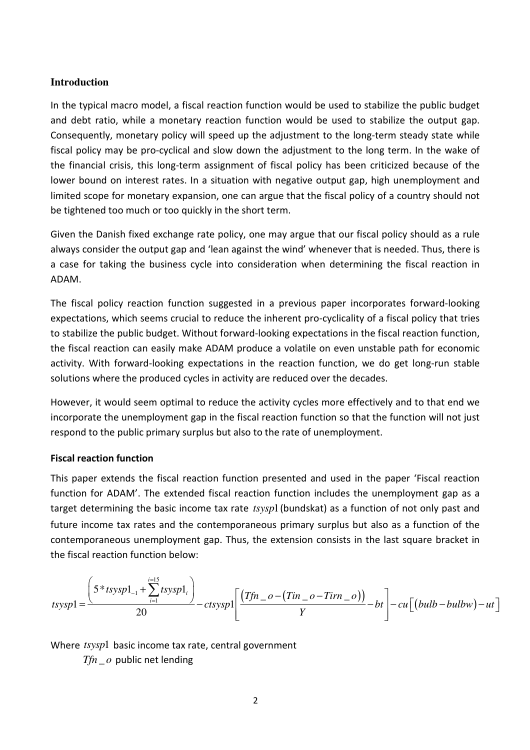# **Introduction**

In the typical macro model, a fiscal reaction function would be used to stabilize the public budget and debt ratio, while a monetary reaction function would be used to stabilize the output gap. Consequently, monetary policy will speed up the adjustment to the long-term steady state while fiscal policy may be pro-cyclical and slow down the adjustment to the long term. In the wake of the financial crisis, this long-term assignment of fiscal policy has been criticized because of the lower bound on interest rates. In a situation with negative output gap, high unemployment and limited scope for monetary expansion, one can argue that the fiscal policy of a country should not be tightened too much or too quickly in the short term.

Given the Danish fixed exchange rate policy, one may argue that our fiscal policy should as a rule always consider the output gap and 'lean against the wind' whenever that is needed. Thus, there is a case for taking the business cycle into consideration when determining the fiscal reaction in ADAM.

The fiscal policy reaction function suggested in a previous paper incorporates forward-looking expectations, which seems crucial to reduce the inherent pro-cyclicality of a fiscal policy that tries to stabilize the public budget. Without forward-looking expectations in the fiscal reaction function, the fiscal reaction can easily make ADAM produce a volatile on even unstable path for economic activity. With forward-looking expectations in the reaction function, we do get long-run stable solutions where the produced cycles in activity are reduced over the decades.

However, it would seem optimal to reduce the activity cycles more effectively and to that end we incorporate the unemployment gap in the fiscal reaction function so that the function will not just respond to the public primary surplus but also to the rate of unemployment.

# Fiscal reaction function

This paper extends the fiscal reaction function presented and used in the paper 'Fiscal reaction function for ADAM'. The extended fiscal reaction function includes the unemployment gap as a target determining the basic income tax rate *tsysp*1(bundskat) as a function of not only past and future income tax rates and the contemporaneous primary surplus but also as a function of the contemporaneous unemployment gap. Thus, the extension consists in the last square bracket in the fiscal reaction function below:

$$
tssysp1 = \frac{\left(5 * tsysp1_{-1} + \sum_{i=1}^{i=15} tsysp1_i\right)}{20} - ctsysp1 \left[\frac{(Tfn - o - (Tin - o - Tirn - o))}{Y} - bt\right] - cu\left[(bulb - bulbw) - ut\right]
$$

Where *tsysp*1 basic income tax rate, central government

 $Tfn \_ o$  public net lending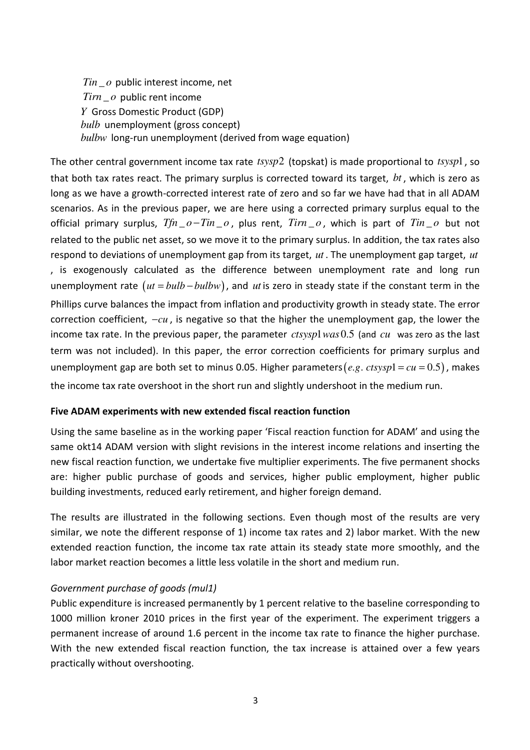$Tin \_o$  public interest income, net  $Tirn \quad o$  public rent income *Y* Gross Domestic Product (GDP) *bulb* unemployment (gross concept) *bulbw* long-run unemployment (derived from wage equation)

The other central government income tax rate *tsysp*2 (topskat) is made proportional to *tsysp*1, so that both tax rates react. The primary surplus is corrected toward its target, *bt* , which is zero as long as we have a growth-corrected interest rate of zero and so far we have had that in all ADAM scenarios. As in the previous paper, we are here using a corrected primary surplus equal to the official primary surplus,  $Tfn \_o - Tin \_o$ , plus rent,  $Tirn \_o$ , which is part of  $Tin \_o$  but not related to the public net asset, so we move it to the primary surplus. In addition, the tax rates also respond to deviations of unemployment gap from its target, *ut* . The unemployment gap target, *ut* , is exogenously calculated as the difference between unemployment rate and long run unemployment rate  $(ut = bulb - bulbw)$ , and *ut* is zero in steady state if the constant term in the Phillips curve balances the impact from inflation and productivity growth in steady state. The error correction coefficient, −*cu* , is negative so that the higher the unemployment gap, the lower the income tax rate. In the previous paper, the parameter *ctsysp1 was* 0.5 (and *cu* was zero as the last term was not included). In this paper, the error correction coefficients for primary surplus and unemployment gap are both set to minus 0.05. Higher parameters (*e.g. ctsysp*1 =  $cu$  = 0.5), makes the income tax rate overshoot in the short run and slightly undershoot in the medium run.

# Five ADAM experiments with new extended fiscal reaction function

Using the same baseline as in the working paper 'Fiscal reaction function for ADAM' and using the same okt14 ADAM version with slight revisions in the interest income relations and inserting the new fiscal reaction function, we undertake five multiplier experiments. The five permanent shocks are: higher public purchase of goods and services, higher public employment, higher public building investments, reduced early retirement, and higher foreign demand.

The results are illustrated in the following sections. Even though most of the results are very similar, we note the different response of 1) income tax rates and 2) labor market. With the new extended reaction function, the income tax rate attain its steady state more smoothly, and the labor market reaction becomes a little less volatile in the short and medium run.

# Government purchase of goods (mul1)

Public expenditure is increased permanently by 1 percent relative to the baseline corresponding to 1000 million kroner 2010 prices in the first year of the experiment. The experiment triggers a permanent increase of around 1.6 percent in the income tax rate to finance the higher purchase. With the new extended fiscal reaction function, the tax increase is attained over a few years practically without overshooting.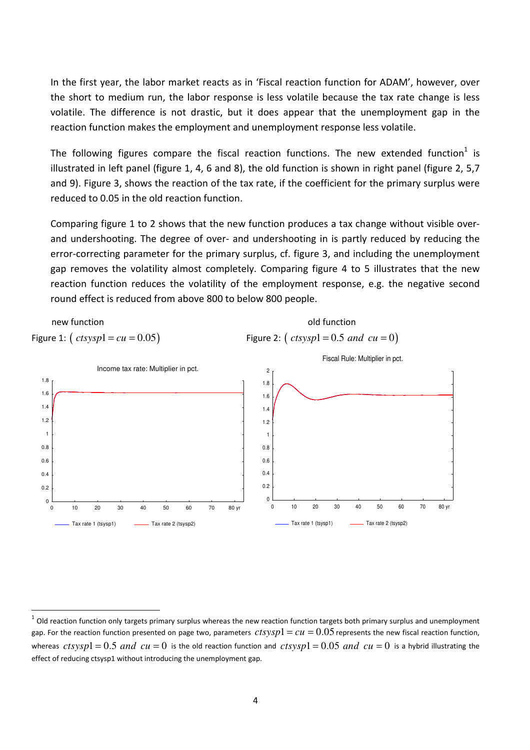In the first year, the labor market reacts as in 'Fiscal reaction function for ADAM', however, over the short to medium run, the labor response is less volatile because the tax rate change is less volatile. The difference is not drastic, but it does appear that the unemployment gap in the reaction function makes the employment and unemployment response less volatile.

The following figures compare the fiscal reaction functions. The new extended function<sup>1</sup> is illustrated in left panel (figure 1, 4, 6 and 8), the old function is shown in right panel (figure 2, 5,7 and 9). Figure 3, shows the reaction of the tax rate, if the coefficient for the primary surplus were reduced to 0.05 in the old reaction function.

Comparing figure 1 to 2 shows that the new function produces a tax change without visible overand undershooting. The degree of over- and undershooting in is partly reduced by reducing the error-correcting parameter for the primary surplus, cf. figure 3, and including the unemployment gap removes the volatility almost completely. Comparing figure 4 to 5 illustrates that the new reaction function reduces the volatility of the employment response, e.g. the negative second round effect is reduced from above 800 to below 800 people.



l

 $^1$  Old reaction function only targets primary surplus whereas the new reaction function targets both primary surplus and unemployment gap. For the reaction function presented on page two, parameters  $ctsysp1 = cu = 0.05$  represents the new fiscal reaction function, whereas  $ctsysp1 = 0.5$  and  $cu = 0$  is the old reaction function and  $ctsysp1 = 0.05$  and  $cu = 0$  is a hybrid illustrating the effect of reducing ctsysp1 without introducing the unemployment gap.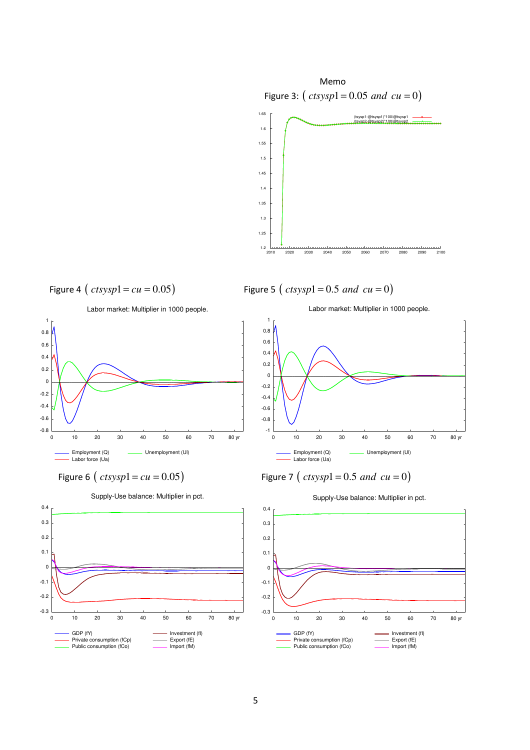

Figure 4 ( $ctsysp1 = cu = 0.05$ ) Figure 5 ( $ctsysp1 = 0.5$  and  $cu = 0$ )





Supply-Use balance: Multiplier in pct.

Labor market: Multiplier in 1000 people.



Figure 6 (  $ctsysp1 = cu = 0.05$  Figure 7 (  $ctsysp1 = 0.5$  and  $cu = 0$  )



Supply-Use balance: Multiplier in pct.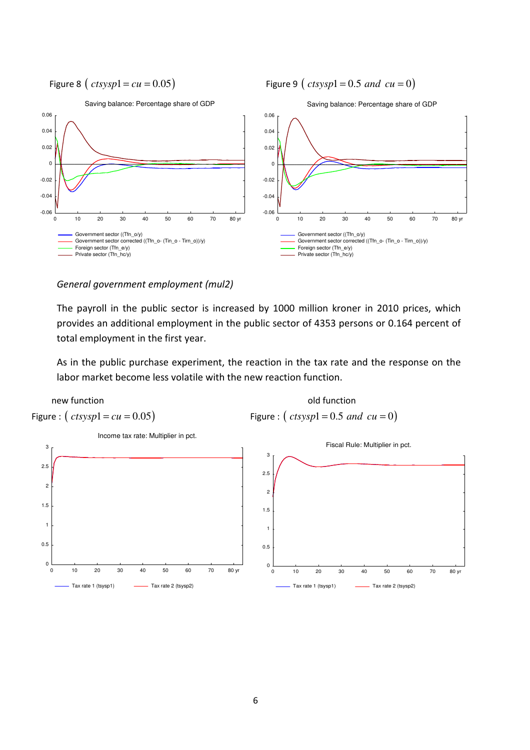Figure 8 (  $ctsysp1 = cu = 0.05$  Figure 9 (  $ctsysp1 = 0.5$  and  $cu = 0$  )



### General government employment (mul2)

The payroll in the public sector is increased by 1000 million kroner in 2010 prices, which provides an additional employment in the public sector of 4353 persons or 0.164 percent of total employment in the first year.

As in the public purchase experiment, the reaction in the tax rate and the response on the labor market become less volatile with the new reaction function.

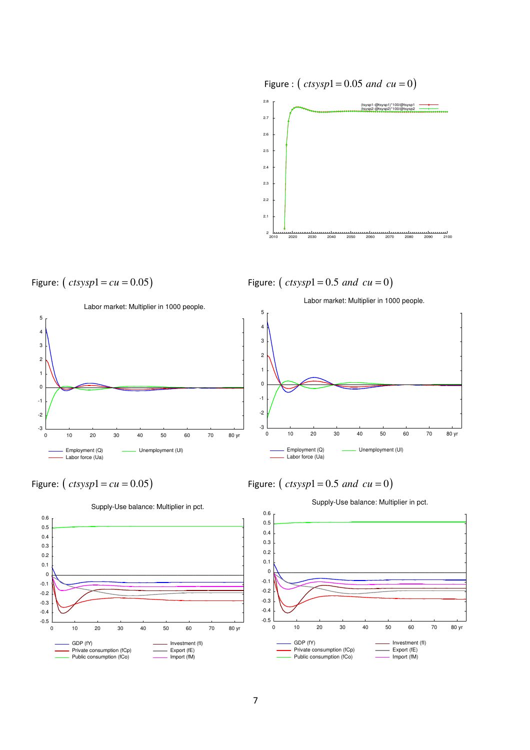

Figure:  $(c \, t \, sysp1 = cu = 0.05)$  Figure:  $(c \, t \, sysp1 = 0.5 \, and \, cu = 0)$ 









Public consumption (fCo)







Import (fM)

-0.5  $-0.4$ -0.3 -0.2 -0.1 0 0.1 0.2 0.3  $0.4$  0.5 0.6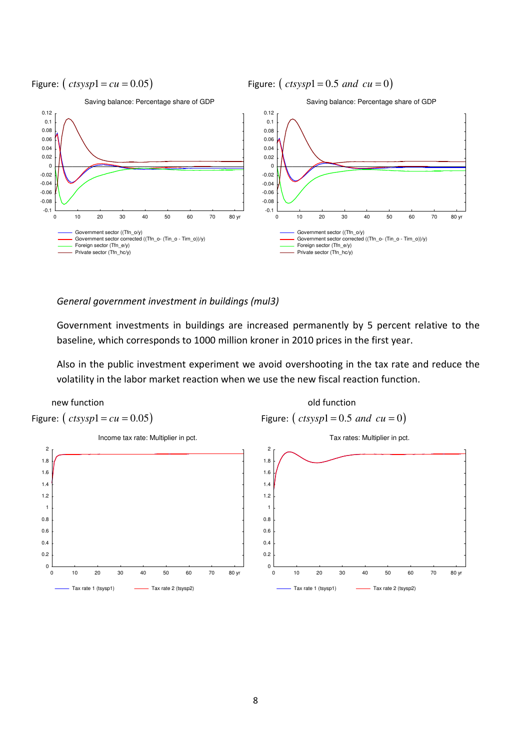

General government investment in buildings (mul3)

Government investments in buildings are increased permanently by 5 percent relative to the baseline, which corresponds to 1000 million kroner in 2010 prices in the first year.

Also in the public investment experiment we avoid overshooting in the tax rate and reduce the volatility in the labor market reaction when we use the new fiscal reaction function.

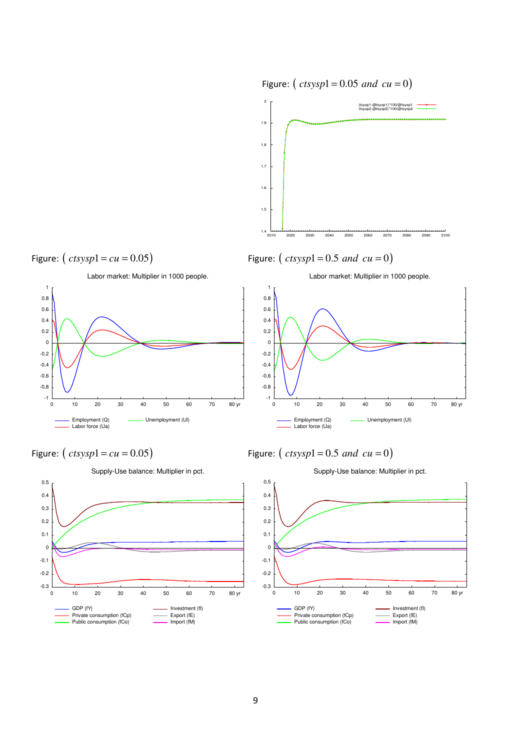

Figure:  $(c \, t \, s \, y \, s \, p1 = cu = 0.05)$  Figure:  $(c \, t \, s \, y \, s \, p1 = 0.5 \, and \, cu = 0)$ 







Labor market: Multiplier in 1000 people.



Figure:  $(c \, t \, sysp1 = cu = 0.05)$  Figure:  $(c \, t \, sysp1 = 0.5 \, and \, cu = 0)$ 



Supply-Use balance: Multiplier in pct.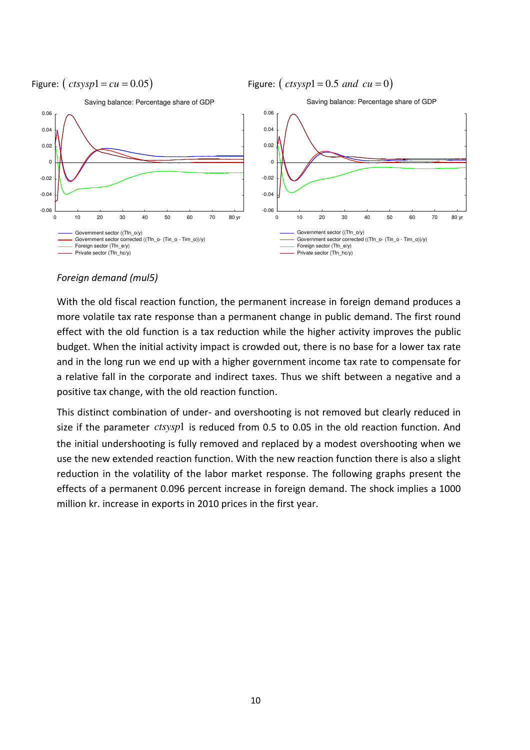

#### Foreign demand (mul5)

With the old fiscal reaction function, the permanent increase in foreign demand produces a more volatile tax rate response than a permanent change in public demand. The first round effect with the old function is a tax reduction while the higher activity improves the public budget. When the initial activity impact is crowded out, there is no base for a lower tax rate and in the long run we end up with a higher government income tax rate to compensate for a relative fall in the corporate and indirect taxes. Thus we shift between a negative and a positive tax change, with the old reaction function.

This distinct combination of under- and overshooting is not removed but clearly reduced in size if the parameter *ctsysp*1 is reduced from 0.5 to 0.05 in the old reaction function. And the initial undershooting is fully removed and replaced by a modest overshooting when we use the new extended reaction function. With the new reaction function there is also a slight reduction in the volatility of the labor market response. The following graphs present the effects of a permanent 0.096 percent increase in foreign demand. The shock implies a 1000 million kr. increase in exports in 2010 prices in the first year.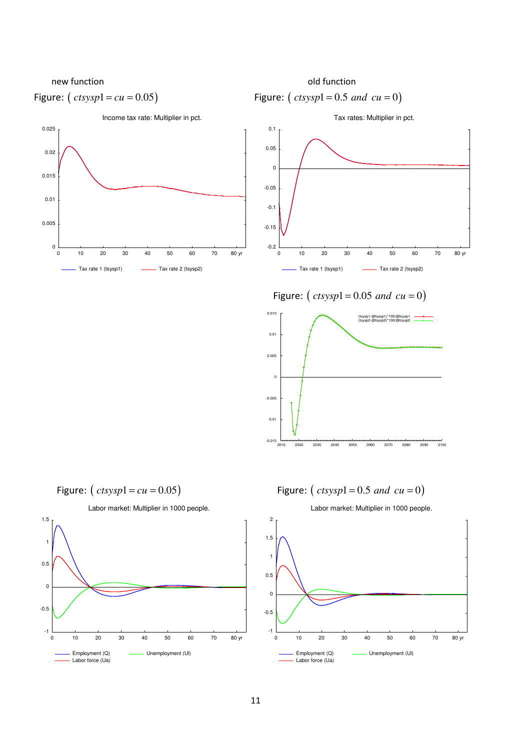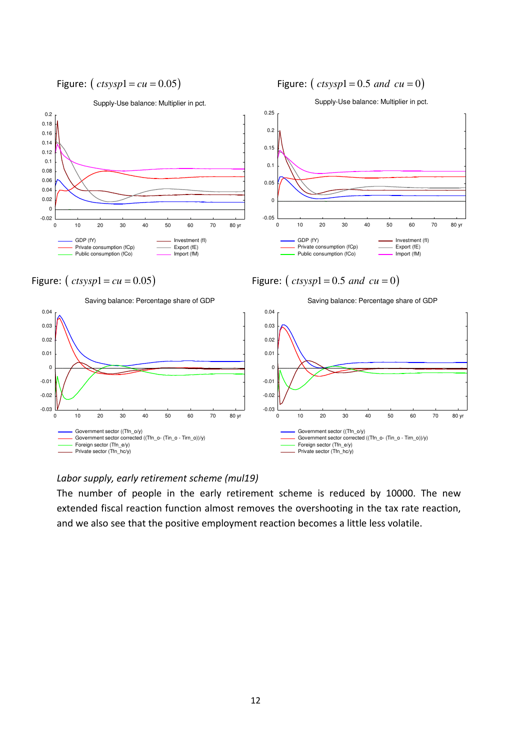Supply-Use balance: Multiplier in pct.

Investment (fI) Export (fE) Import (fM)





Figure:  $(c \, t \, s \, y \, s \, p \, l = cu = 0.05)$  Figure:  $(c \, t \, s \, y \, s \, p \, l = 0.5 \, and \, cu = 0)$ 

Private consumption (fCp) Public consumption (fCo)

GDP (fY)



#### Labor supply, early retirement scheme (mul19)

The number of people in the early retirement scheme is reduced by 10000. The new extended fiscal reaction function almost removes the overshooting in the tax rate reaction, and we also see that the positive employment reaction becomes a little less volatile.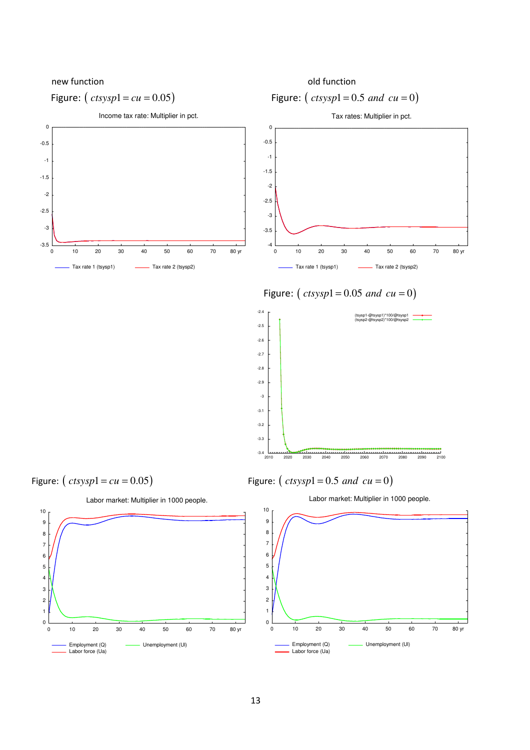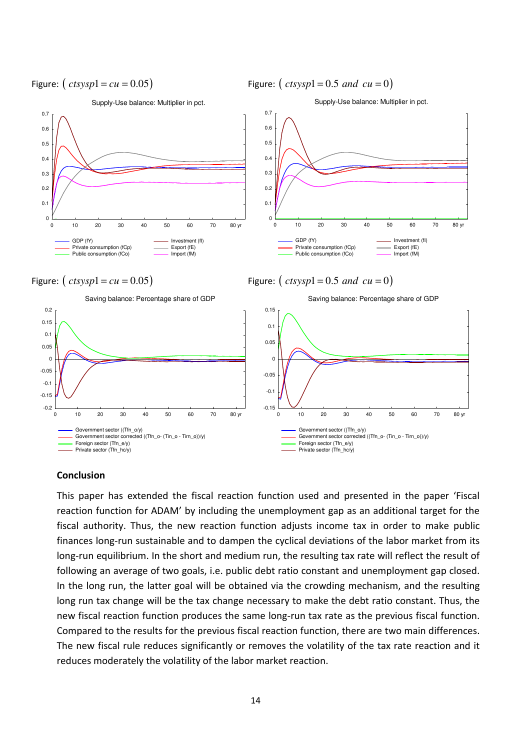

#### Conclusion

This paper has extended the fiscal reaction function used and presented in the paper 'Fiscal reaction function for ADAM' by including the unemployment gap as an additional target for the fiscal authority. Thus, the new reaction function adjusts income tax in order to make public finances long-run sustainable and to dampen the cyclical deviations of the labor market from its long-run equilibrium. In the short and medium run, the resulting tax rate will reflect the result of following an average of two goals, i.e. public debt ratio constant and unemployment gap closed. In the long run, the latter goal will be obtained via the crowding mechanism, and the resulting long run tax change will be the tax change necessary to make the debt ratio constant. Thus, the new fiscal reaction function produces the same long-run tax rate as the previous fiscal function. Compared to the results for the previous fiscal reaction function, there are two main differences. The new fiscal rule reduces significantly or removes the volatility of the tax rate reaction and it reduces moderately the volatility of the labor market reaction.